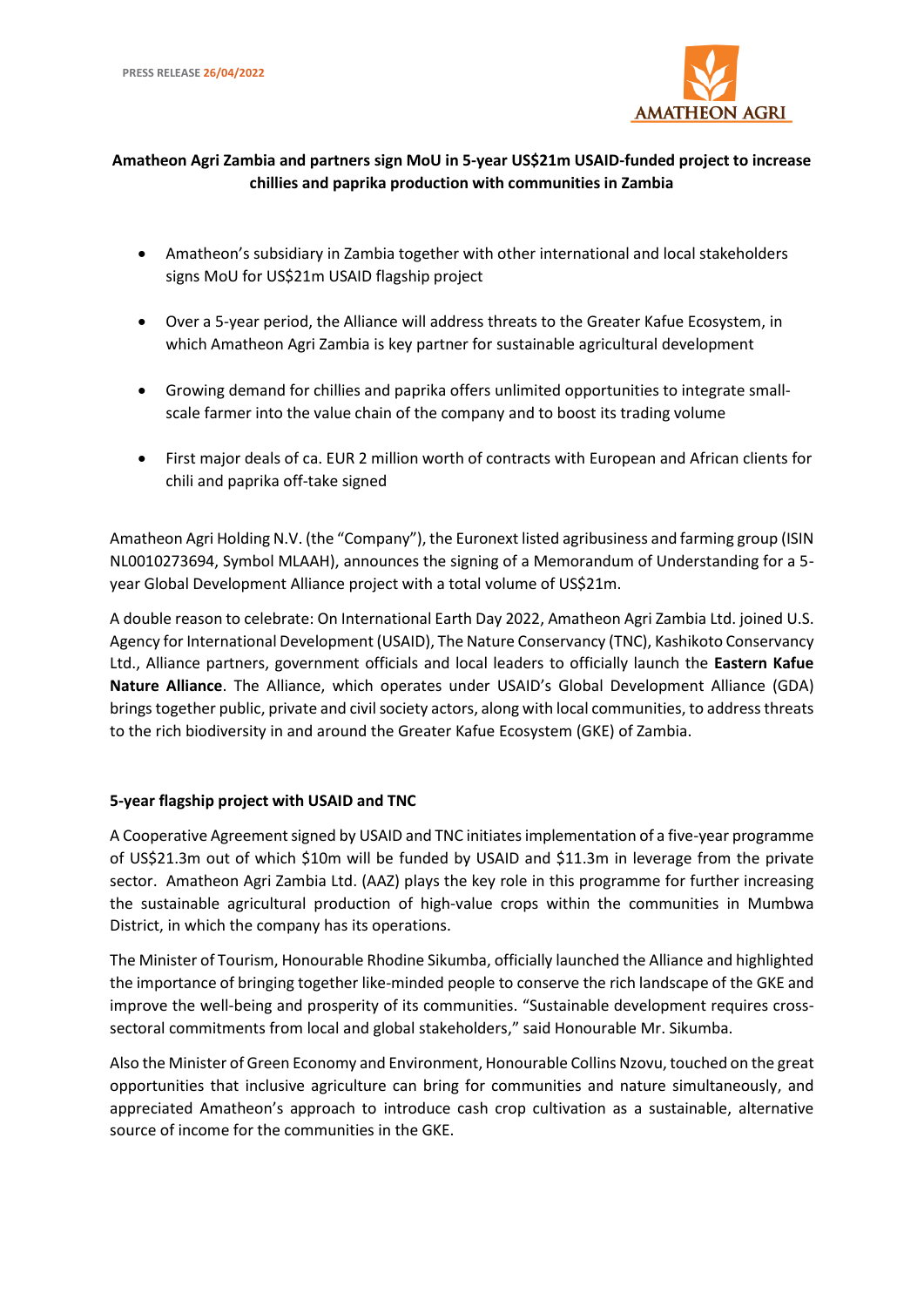

# **Amatheon Agri Zambia and partners sign MoU in 5-year US\$21m USAID-funded project to increase chillies and paprika production with communities in Zambia**

- Amatheon's subsidiary in Zambia together with other international and local stakeholders signs MoU for US\$21m USAID flagship project
- Over a 5-year period, the Alliance will address threats to the Greater Kafue Ecosystem, in which Amatheon Agri Zambia is key partner for sustainable agricultural development
- Growing demand for chillies and paprika offers unlimited opportunities to integrate smallscale farmer into the value chain of the company and to boost its trading volume
- First major deals of ca. EUR 2 million worth of contracts with European and African clients for chili and paprika off-take signed

Amatheon Agri Holding N.V. (the "Company"), the Euronext listed agribusiness and farming group (ISIN NL0010273694, Symbol MLAAH), announces the signing of a Memorandum of Understanding for a 5 year Global Development Alliance project with a total volume of US\$21m.

A double reason to celebrate: On International Earth Day 2022, Amatheon Agri Zambia Ltd. joined U.S. Agency for International Development (USAID), The Nature Conservancy (TNC), Kashikoto Conservancy Ltd., Alliance partners, government officials and local leaders to officially launch the **Eastern Kafue Nature Alliance**. The Alliance, which operates under USAID's Global Development Alliance (GDA) brings together public, private and civil society actors, along with local communities, to address threats to the rich biodiversity in and around the Greater Kafue Ecosystem (GKE) of Zambia.

## **5-year flagship project with USAID and TNC**

A Cooperative Agreement signed by USAID and TNC initiatesimplementation of a five-year programme of US\$21.3m out of which \$10m will be funded by USAID and \$11.3m in leverage from the private sector. Amatheon Agri Zambia Ltd. (AAZ) plays the key role in this programme for further increasing the sustainable agricultural production of high-value crops within the communities in Mumbwa District, in which the company has its operations.

The Minister of Tourism, Honourable Rhodine Sikumba, officially launched the Alliance and highlighted the importance of bringing together like-minded people to conserve the rich landscape of the GKE and improve the well-being and prosperity of its communities. "Sustainable development requires crosssectoral commitments from local and global stakeholders," said Honourable Mr. Sikumba.

Also the Minister of Green Economy and Environment, Honourable Collins Nzovu, touched on the great opportunities that inclusive agriculture can bring for communities and nature simultaneously, and appreciated Amatheon's approach to introduce cash crop cultivation as a sustainable, alternative source of income for the communities in the GKE.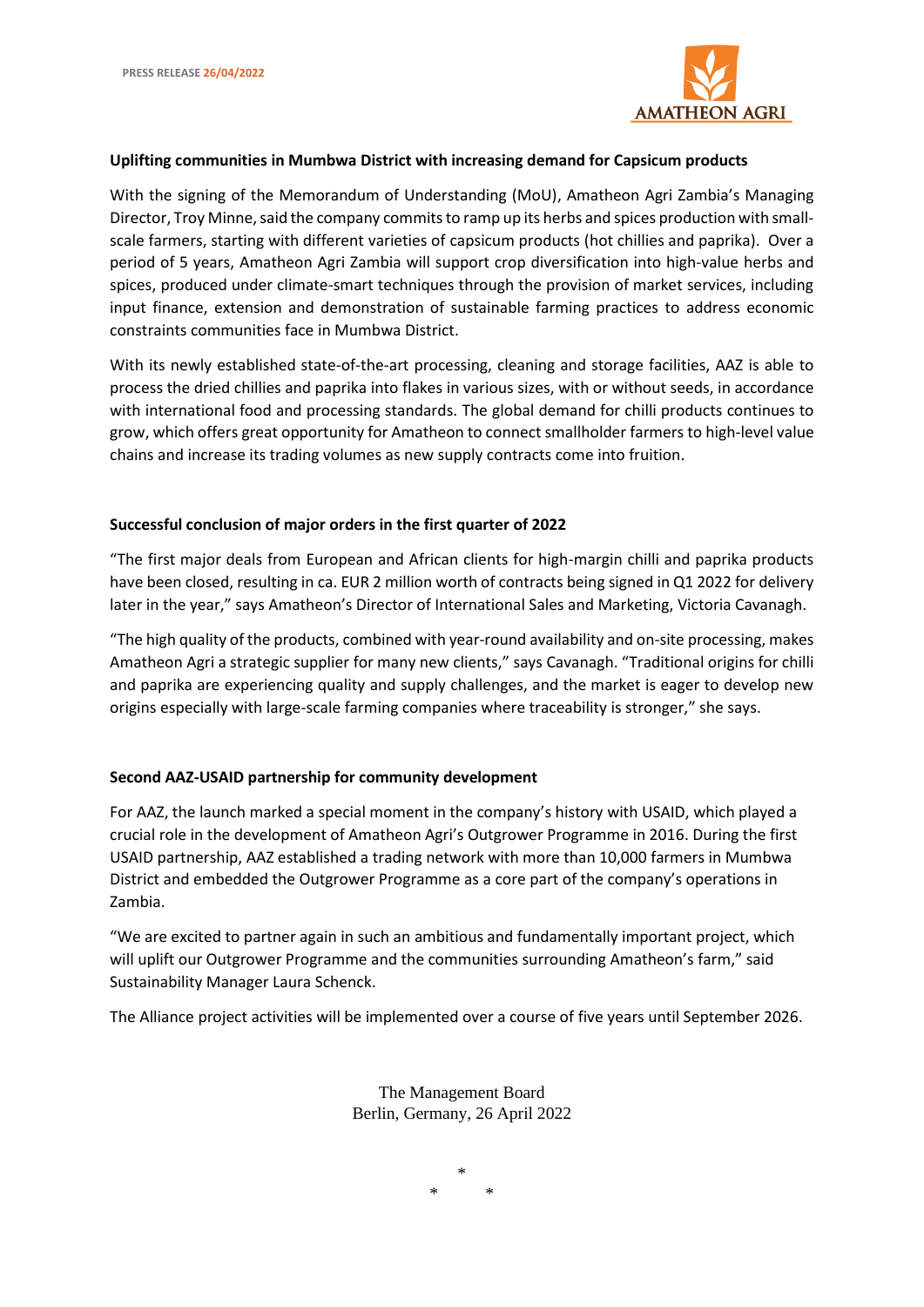

#### **Uplifting communities in Mumbwa District with increasing demand for Capsicum products**

With the signing of the Memorandum of Understanding (MoU), Amatheon Agri Zambia's Managing Director, Troy Minne, said the company commits to ramp up its herbs and spices production with smallscale farmers, starting with different varieties of capsicum products (hot chillies and paprika). Over a period of 5 years, Amatheon Agri Zambia will support crop diversification into high-value herbs and spices, produced under climate-smart techniques through the provision of market services, including input finance, extension and demonstration of sustainable farming practices to address economic constraints communities face in Mumbwa District.

With its newly established state-of-the-art processing, cleaning and storage facilities, AAZ is able to process the dried chillies and paprika into flakes in various sizes, with or without seeds, in accordance with international food and processing standards. The global demand for chilli products continues to grow, which offers great opportunity for Amatheon to connect smallholder farmers to high-level value chains and increase its trading volumes as new supply contracts come into fruition.

#### **Successful conclusion of major orders in the first quarter of 2022**

"The first major deals from European and African clients for high-margin chilli and paprika products have been closed, resulting in ca. EUR 2 million worth of contracts being signed in Q1 2022 for delivery later in the year," says Amatheon's Director of International Sales and Marketing, Victoria Cavanagh.

"The high quality of the products, combined with year-round availability and on-site processing, makes Amatheon Agri a strategic supplier for many new clients," says Cavanagh. "Traditional origins for chilli and paprika are experiencing quality and supply challenges, and the market is eager to develop new origins especially with large-scale farming companies where traceability is stronger," she says.

#### **Second AAZ-USAID partnership for community development**

For AAZ, the launch marked a special moment in the company's history with USAID, which played a crucial role in the development of Amatheon Agri's Outgrower Programme in 2016. During the first USAID partnership, AAZ established a trading network with more than 10,000 farmers in Mumbwa District and embedded the Outgrower Programme as a core part of the company's operations in Zambia.

"We are excited to partner again in such an ambitious and fundamentally important project, which will uplift our Outgrower Programme and the communities surrounding Amatheon's farm," said Sustainability Manager Laura Schenck.

The Alliance project activities will be implemented over a course of five years until September 2026.

The Management Board Berlin, Germany, 26 April 2022

> \* \* \*